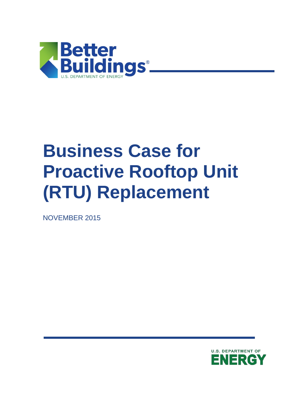

# **Business Case for Proactive Rooftop Unit (RTU) Replacement**

NOVEMBER 2015

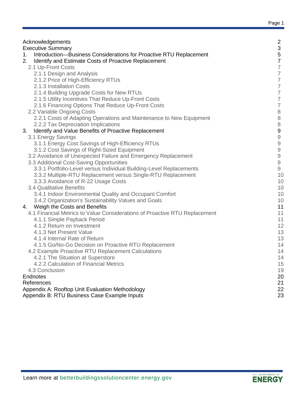| Acknowledgements                                                           | $\overline{2}$           |
|----------------------------------------------------------------------------|--------------------------|
| <b>Executive Summary</b>                                                   | $\mathfrak{S}$           |
| Introduction-Business Considerations for Proactive RTU Replacement<br>1.   | $\frac{5}{7}$            |
| 2.<br>Identify and Estimate Costs of Proactive Replacement                 |                          |
| 2.1 Up-Front Costs                                                         | $\overline{\mathcal{I}}$ |
| 2.1.1 Design and Analysis                                                  | $\overline{\mathcal{I}}$ |
| 2.1.2 Price of High-Efficiency RTUs                                        | $\boldsymbol{7}$         |
| 2.1.3 Installation Costs                                                   | $\overline{7}$           |
| 2.1.4 Building Upgrade Costs for New RTUs                                  | $\overline{7}$           |
| 2.1.5 Utility Incentives That Reduce Up-Front Costs                        | $\overline{7}$           |
| 2.1.6 Financing Options That Reduce Up-Front Costs                         | $\overline{7}$           |
| 2.2 Variable Ongoing Costs                                                 | $\,8\,$                  |
| 2.2.1 Costs of Adapting Operations and Maintenance to New Equipment        | $\,8\,$                  |
| 2.2.2 Tax Depreciation Implications                                        | $\,8\,$                  |
| Identify and Value Benefits of Proactive Replacement<br>3.                 | $\boldsymbol{9}$         |
| 3.1 Energy Savings                                                         | $\mathsf 9$              |
| 3.1.1 Energy Cost Savings of High-Efficiency RTUs                          | $\hbox{9}$               |
| 3.1.2 Cost Savings of Right-Sized Equipment                                | $\hbox{9}$               |
| 3.2 Avoidance of Unexpected Failure and Emergency Replacement              | $\mathsf g$              |
| 3.3 Additional Cost-Saving Opportunities                                   | $\hbox{9}$               |
| 3.3.1 Portfolio-Level versus Individual Building-Level Replacements        | $\hbox{9}$               |
| 3.3.2 Multiple-RTU Replacement versus Single-RTU Replacement               | 10                       |
| 3.3.3 Avoidance of R-22 Usage Costs                                        | 10                       |
| 3.4 Qualitative Benefits                                                   | 10                       |
| 3.4.1 Indoor Environmental Quality and Occupant Comfort                    | 10                       |
| 3.4.2 Organization's Sustainability Values and Goals                       | 10                       |
| Weigh the Costs and Benefits<br>4.                                         | 11                       |
| 4.1 Financial Metrics to Value Considerations of Proactive RTU Replacement | 11                       |
| 4.1.1 Simple Payback Period                                                | 11                       |
| 4.1.2 Return on Investment                                                 | 12                       |
| 4.1.3 Net Present Value                                                    | 13                       |
| 4.1.4 Internal Rate of Return                                              | 13                       |
| 4.1.5 Go/No-Go Decision on Proactive RTU Replacement                       | 14                       |
| 4.2 Example Proactive RTU Replacement Calculations                         | 14                       |
| 4.2.1 The Situation at Superstore                                          | 14                       |
| 4.2.2 Calculation of Financial Metrics                                     | 15                       |
| 4.3 Conclusion                                                             | 19                       |
| <b>Endnotes</b>                                                            | 20                       |
| References                                                                 | 21                       |
| Appendix A: Rooftop Unit Evaluation Methodology                            | 22                       |
| Appendix B: RTU Business Case Example Inputs                               | 23                       |

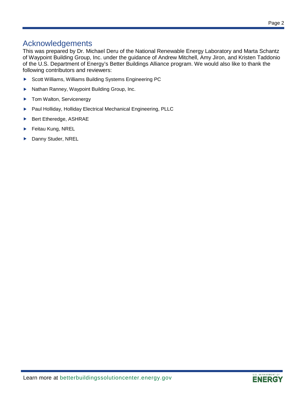## <span id="page-2-0"></span>Acknowledgements

This was prepared by Dr. Michael Deru of the National Renewable Energy Laboratory and Marta Schantz of Waypoint Building Group, Inc. under the guidance of Andrew Mitchell, Amy Jiron, and Kristen Taddonio of the U.S. Department of Energy's Better Buildings Alliance program. We would also like to thank the following contributors and reviewers:

- ▶ Scott Williams, Williams Building Systems Engineering PC
- ▶ Nathan Ranney, Waypoint Building Group, Inc.
- Tom Walton, Servicenergy
- **Paul Holliday, Holliday Electrical Mechanical Engineering, PLLC**
- **Bert Etheredge, ASHRAE**
- **Feitau Kung, NREL**
- **Danny Studer, NREL**

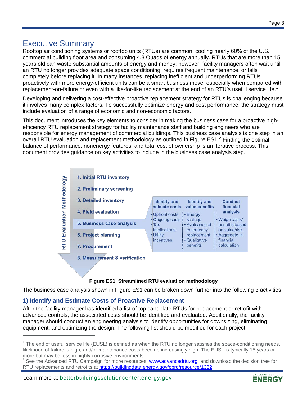# <span id="page-3-0"></span>Executive Summary

Rooftop air conditioning systems or rooftop units (RTUs) are common, cooling nearly 60% of the U.S. commercial building floor area and consuming 4.3 Quads of energy annually. RTUs that are more than 15 years old can waste substantial amounts of energy and money; however, facility managers often wait until an RTU no longer provides adequate space conditioning, requires frequent maintenance, or fails completely before replacing it. In many instances, replacing inefficient and underperforming RTUs proactively with more energy-efficient units can be a smart business move, especially when compared with replacement-on-failure or even with a like-for-like replacement at the end of an RTU's useful service life.<sup>[1](#page-3-1)</sup>

Developing and delivering a cost-effective proactive replacement strategy for RTUs is challenging because it involves many complex factors. To successfully optimize energy and cost performance, the strategy must include evaluation of a range of economic and non-economic factors.

This document introduces the key elements to consider in making the business case for a proactive highefficiency RTU replacement strategy for facility maintenance staff and building engineers who are responsible for energy management of commercial buildings. This business case analysis is one step in an overall RTU evaluation and replacement methodology as outlined in Figure ES1.<sup>[2](#page-3-2)</sup> Finding the optimal balance of performance, nonenergy features, and total cost of ownership is an iterative process. This document provides guidance on key activities to include in the business case analysis step.



#### **Figure ES1. Streamlined RTU evaluation methodology**

The business case analysis shown in Figure ES1 can be broken down further into the following 3 activities:

## **1) Identify and Estimate Costs of Proactive Replacement**

After the facility manager has identified a list of top candidate RTUs for replacement or retrofit with advanced controls, the associated costs should be identified and evaluated. Additionally, the facility manager should conduct an engineering analysis to identify opportunities for downsizing, eliminating equipment, and optimizing the design. The following list should be modified for each project.

 $\overline{a}$ 



<span id="page-3-1"></span> $1$  The end of useful service life (EUSL) is defined as when the RTU no longer satisfies the space-conditioning needs, likelihood of failure is high, and/or maintenance costs become increasingly high. The EUSL is typically 15 years or<br>more but may be less in highly corrosive environments.

<span id="page-3-2"></span><sup>&</sup>lt;sup>2</sup> See the Advanced RTU Campaign for more resources, [www.advancedrtu.org;](http://www.advancedrtu.org/) and download the decision tree for RTU replacements and retrofits at [https://buildingdata.energy.gov/cbrd/resource/1332.](https://buildingdata.energy.gov/cbrd/resource/1332)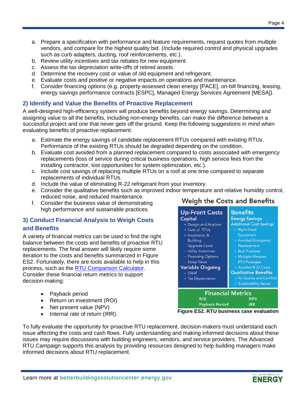- a. Prepare a specification with performance and feature requirements, request quotes from multiple vendors, and compare for the highest quality bid. (Include required control and physical upgrades such as curb adapters, ducting, roof reinforcements, etc.).
- b. Review utility incentives and tax rebates for new equipment.
- c. Assess the tax depreciation write-offs of retired assets.
- d. Determine the recovery cost or value of old equipment and refrigerant.
- e. Evaluate costs and positive or negative impacts on operations and maintenance.
- f. Consider financing options (e.g. property-assessed clean energy [PACE], on-bill financing, leasing, energy savings performance contracts [ESPC], Managed Energy Services Agreement [MESA]).

#### **2) Identify and Value the Benefits of Proactive Replacement**

A well-designed high-efficiency system will produce benefits beyond energy savings. Determining and assigning value to all the benefits, including non-energy benefits, can make the difference between a successful project and one that never gets off the ground. Keep the following suggestions in mind when evaluating benefits of proactive replacement:

- a. Estimate the energy savings of candidate replacement RTUs compared with existing RTUs. Performance of the existing RTUs should be degraded depending on the condition.
- b. Evaluate cost avoided from a planned replacement compared to costs associated with emergency replacements (loss of service during critical business operations, high service fees from the installing contractor, lost opportunities for system optimization, etc.).
- c. Include cost savings of replacing multiple RTUs on a roof at one time compared to separate replacements of individual RTUs.
- d. Include the value of eliminating R-22 refrigerant from your inventory.
- e. Consider the qualitative benefits such as improved indoor temperature and relative humidity control, reduced noise, and reduced maintenance.
- f. Consider the business value of demonstrating high performance and sustainable practices.

#### **3) Conduct Financial Analysis to Weigh Costs**

#### **and Benefits**

A variety of financial metrics can be used to find the right balance between the costs and benefits of proactive RTU replacements. The final answer will likely require some iteration to the costs and benefits summarized in Figure ES2. Fortunately, there are tools available to help in this process, such as the [RTU Comparison Calculator.](http://www.pnnl.gov/uac/) Consider these financial return metrics to support decision-making:

- Payback period
- Return on investment (ROI)
- Net present value (NPV)
- Internal rate of return (IRR).

## **Weigh the Costs and Benefits**



**Figure ES2. RTU business case evaluation**

To fully evaluate the opportunity for proactive RTU replacement, decision-makers must understand each issue affecting the costs and cash flows. Fully understanding and making informed decisions about these issues may require discussions with building engineers, vendors, and service providers. The Advanced RTU Campaign supports this analysis by providing resources designed to help building managers make informed decisions about RTU replacement.

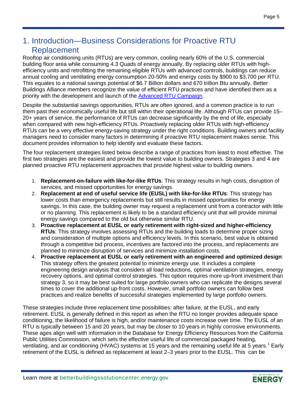# <span id="page-5-0"></span>1. Introduction—Business Considerations for Proactive RTU Replacement

Rooftop air conditioning units (RTUs) are very common, cooling nearly 60% of the U.S. commercial building floor area while consuming 4.3 Quads of energy annually. By replacing older RTUs with highefficiency units and retrofitting the remaining eligible RTUs with advanced controls, buildings can reduce annual cooling and ventilating energy consumption 20-50% and energy costs by \$900 to \$3,700 per RTU. This equates to a national savings potential of \$6.7 Billion dollars and 670 trillion Btu annually. Better Buildings Alliance members recognize the value of efficient RTU practices and have identified them as a priority with the development and launch of the [Advanced RTU Campaign.](http://www.advancedrtu.org/)

Despite the substantial savings opportunities, RTUs are often ignored, and a common practice is to run them past their economically useful life but still within their operational life. Although RTUs can provide 15– 20+ years of service, the performance of RTUs can decrease significantly by the end of life, especially when compared with new high-efficiency RTUs. Proactively replacing older RTUs with high-efficiency RTUs can be a very effective energy-saving strategy under the right conditions. Building owners and facility managers need to consider many factors in determining if proactive RTU replacement makes sense. This document provides information to help identify and evaluate these factors.

The four replacement strategies listed below describe a range of practices from least to most effective. The first two strategies are the easiest and provide the lowest value to building owners. Strategies 3 and 4 are planned proactive RTU replacement approaches that provide highest value to building owners.

- 1. **Replacement-on-failure with like-for-like RTUs**: This strategy results in high costs, disruption of services, and missed opportunities for energy savings.
- 2. **Replacement at end of useful service life (EUSL) with like-for-like RTUs**: This strategy has lower costs than emergency replacements but still results in missed opportunities for energy savings. In this case, the building owner may request a replacement unit from a contractor with little or no planning. This replacement is likely to be a standard efficiency unit that will provide minimal energy savings compared to the old but otherwise similar RTU.
- 3. **Proactive replacement at EUSL or early retirement with right-sized and higher-efficiency RTUs**: This strategy involves assessing RTUs and the building loads to determine proper sizing and consideration of multiple options and efficiency levels. In this scenario, best value is obtained through a competitive bid process, incentives are factored into the process, and replacements are planned to minimize disruption of services and minimize installation costs.
- 4. **Proactive replacement at EUSL or early retirement with an engineered and optimized design**: This strategy offers the greatest potential to minimize energy use. It includes a complete engineering design analysis that considers all load reductions, optimal ventilation strategies, energy recovery options, and optimal control strategies. This option requires more up-front investment than strategy 3, so it may be best suited for large portfolio owners who can replicate the designs several times to cover the additional up-front costs. However, small portfolio owners can follow best practices and realize benefits of successful strategies implemented by large portfolio owners.

These strategies include three replacement time possibilities: after failure, at the EUSL, and early retirement. EUSL is generally defined in this report as when the RTU no longer provides adequate space conditioning, the likelihood of failure is high, and/or maintenance costs increase over time. The EUSL of an RTU is typically between 15 and 20 years, but may be closer to 10 years in highly corrosive environments. These ages align well with information in the Database for Energy Efficiency Resources from the California Public Utilities Commission, which sets the effective useful life of commercial packaged heating, ventilating, and air conditioning (HVAC) systems at [1](#page-20-1)5 years and the remaining useful life at 5 years.<sup>1</sup> Early retirement of the EUSL is defined as replacement at least 2–3 years prior to the EUSL. This can be

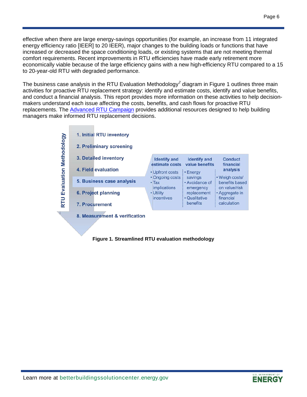effective when there are large energy-savings opportunities (for example, an increase from 11 integrated energy efficiency ratio [IEER] to 20 IEER), major changes to the building loads or functions that have increased or decreased the space conditioning loads, or existing systems that are not meeting thermal comfort requirements. Recent improvements in RTU efficiencies have made early retirement more economically viable because of the large efficiency gains with a new high-efficiency RTU compared to a 15 to 20-year-old RTU with degraded performance.

The business case analysis in the RTU Evaluation Methodology*[2](#page-20-2)* diagram in Figure 1 outlines three main activities for proactive RTU replacement strategy: identify and estimate costs, identify and value benefits, and conduct a financial analysis. This report provides more information on these activities to help decisionmakers understand each issue affecting the costs, benefits, and cash flows for proactive RTU replacements. The [Advanced RTU Campaign](http://www.advancedrtu.org/) provides additional resources designed to help building managers make informed RTU replacement decisions.

> 1. Initial RTU inventory **RTU Evaluation Methodology** 2. Preliminary screening 3. Detailed inventory **Identify and Identify and Conduct** estimate costs value benefits financial 4. Field evaluation analysis • Upfront costs • Energy • Ongoing costs · Weigh costs/ savings 5. Business case analysis  $\cdot$  Tax • Avoidance of benefits based implications emergency on value/risk 6. Project planning • Utility replacement Aggregate in incentives · Qualitative financial benefits calculation 7. Procurement 8. Measurement & verification

**Figure 1. Streamlined RTU evaluation methodology**

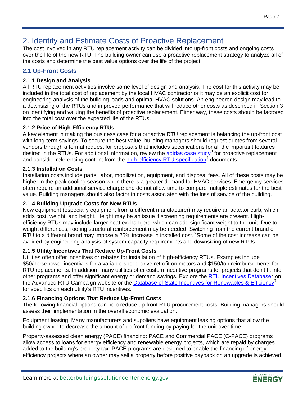# <span id="page-7-0"></span>2. Identify and Estimate Costs of Proactive Replacement

The cost involved in any RTU replacement activity can be divided into up-front costs and ongoing costs over the life of the new RTU. The building owner can use a proactive replacement strategy to analyze all of the costs and determine the best value options over the life of the project.

### <span id="page-7-1"></span>**2.1 Up-Front Costs**

#### <span id="page-7-2"></span>**2.1.1 Design and Analysis**

All RTU replacement activities involve some level of design and analysis. The cost for this activity may be included in the total cost of replacement by the local HVAC contractor or it may be an explicit cost for engineering analysis of the building loads and optimal HVAC solutions. An engineered design may lead to a downsizing of the RTUs and improved performance that will reduce other costs as described in Section 3 on identifying and valuing the benefits of proactive replacement. Either way, these costs should be factored into the total cost over the expected life of the RTUs.

#### <span id="page-7-3"></span>**2.1.2 Price of High-Efficiency RTUs**

A key element in making the business case for a proactive RTU replacement is balancing the up-front cost with long-term savings. To secure the best value, building managers should request quotes from several vendors through a formal request for proposals that includes specifications for all the important features desired in the RTUs. For additional information, review the [adidas case study](https://buildingdata.energy.gov/cbrd/resource/1643)<sup>[3](#page-20-3)</sup> for proactive replacement and consider referencing content from the [high-efficiency RTU specification](http://www.advancedrtu.org/find-a-product.html)<sup>[4](#page-20-4)</sup> documents.

#### <span id="page-7-4"></span>**2.1.3 Installation Costs**

Installation costs include parts, labor, mobilization, equipment, and disposal fees. All of these costs may be higher in the peak cooling season when there is a greater demand for HVAC services. Emergency services often require an additional service charge and do not allow time to compare multiple estimates for the best value. Building managers should also factor in costs associated with the loss of service of the building.

#### <span id="page-7-5"></span>**2.1.4 Building Upgrade Costs for New RTUs**

New equipment (especially equipment from a different manufacturer) may require an adaptor curb, which adds cost, weight, and height. Height may be an issue if screening requirements are present. Highefficiency RTUs may include larger heat exchangers, which can add significant weight to the unit. Due to weight differences, roofing structural reinforcement may be needed. Switching from the current brand of RTU to a different brand may impose a 2[5](#page-20-5)% increase in installed cost.<sup>5</sup> Some of the cost increase can be avoided by engineering analysis of system capacity requirements and downsizing of new RTUs.

#### <span id="page-7-6"></span>**2.1.5 Utility Incentives That Reduce Up-Front Costs**

Utilities often offer incentives or rebates for installation of high-efficiency RTUs. Examples include \$50/horsepower incentives for a variable-speed-drive retrofit on motors and \$150/ton reimbursements for RTU replacements. In addition, many utilities offer custom incentive programs for projects that don't fit into other programs and offer significant energy or demand savings. Explore the [RTU Incentives Database](http://www.advancedrtu.org/financial-resources.html)<sup>[6](#page-20-6)</sup> on the Advanced RTU Campaign website or the [Database of State Incentives for Renewables & Efficiency](http://www.dsireusa.org/)<sup>[7](#page-20-7)</sup> for specifics on each utility's RTU incentives.

#### <span id="page-7-7"></span>**2.1.6 Financing Options That Reduce Up-Front Costs**

The following financial options can help reduce up-front RTU procurement costs. Building managers should assess their implementation in the overall economic evaluation.

Equipment leasing: Many manufacturers and suppliers have equipment leasing options that allow the building owner to decrease the amount of up-front funding by paying for the unit over time.

Property-assessed clean energy (PACE) financing: PACE and Commercial PACE (C-PACE) programs allow access to loans for energy efficiency and renewable energy projects, which are repaid by charges added to the building's property tax. PACE programs are designed to enable the financing of energy efficiency projects where an owner may sell a property before positive payback on an upgrade is achieved.

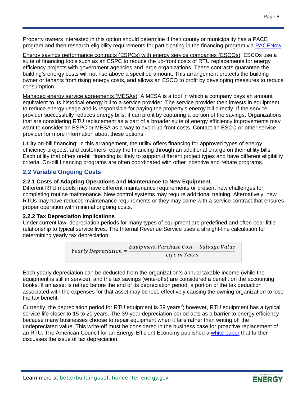Property owners interested in this option should determine if their county or municipality has a PACE program and then research eligibility requirements for participating in the financing program via [PACENow.](http://pacenow.org/)

Energy savings performance contracts (ESPCs) with energy service companies (ESCOs): ESCOs use a suite of financing tools such as an ESPC to reduce the up-front costs of RTU replacements for energy efficiency projects with government agencies and large organizations. These contracts guarantee the building's energy costs will not rise above a specified amount. This arrangement protects the building owner or tenants from rising energy costs, and allows an ESCO to profit by developing measures to reduce consumption.

Managed energy service agreements (MESAs): A MESA is a tool in which a company pays an amount equivalent to its historical energy bill to a service provider. The service provider then invests in equipment to reduce energy usage and is responsible for paying the property's energy bill directly. If the service provider successfully reduces energy bills, it can profit by capturing a portion of the savings. Organizations that are considering RTU replacement as a part of a broader suite of energy efficiency improvements may want to consider an ESPC or MESA as a way to avoid up-front costs. Contact an ESCO or other service provider for more information about these options.

Utility on-bill financing: In this arrangement, the utility offers financing for approved types of energy efficiency projects, and customers repay the financing through an additional charge on their utility bills. Each utility that offers on-bill financing is likely to support different project types and have different eligibility criteria. On-bill financing programs are often coordinated with other incentive and rebate programs.

#### <span id="page-8-0"></span>**2.2 Variable Ongoing Costs**

#### <span id="page-8-1"></span>**2.2.1 Costs of Adapting Operations and Maintenance to New Equipment**

Different RTU models may have different maintenance requirements or present new challenges for completing routine maintenance. New control systems may require additional training. Alternatively, new RTUs may have reduced maintenance requirements or they may come with a service contract that ensures proper operation with minimal ongoing costs.

#### <span id="page-8-2"></span>**2.2.2 Tax Depreciation Implications**

Under current law, depreciation periods for many types of equipment are predefined and often bear little relationship to typical service lives. The Internal Revenue Service uses a straight-line calculation for determining yearly tax depreciation:

$$
Yearly Depreciation = \frac{Equipment\,Purchase\,Cost-Salvage\,Value}{Life\,in\, Years}
$$

Each yearly depreciation can be deducted from the organization's annual taxable income (while the equipment is still in service), and the tax savings (write-offs) are considered a benefit on the accounting books. If an asset is retired before the end of its depreciation period, a portion of the tax deduction associated with the expenses for that asset may be lost, effectively causing the owning organization to lose the tax benefit.

Currently, the depreciation period for RTU equipment is 39 years<sup>[8](#page-20-8)</sup>; however, RTU equipment has a typical service life closer to 15 to 20 years. The 39-year depreciation period acts as a barrier to energy efficiency because many businesses choose to repair equipment when it fails rather than writing off the undepreciated value. This write-off must be considered in the business case for proactive replacement of an RTU. The American Council for an Energy-Efficient Economy published a [white paper](http://www.aceee.org/white-paper/depreciation-impacts-on-tax-policy) that further discusses the issue of tax depreciation.

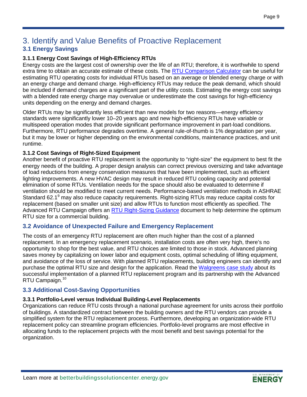## <span id="page-9-1"></span><span id="page-9-0"></span>3. Identify and Value Benefits of Proactive Replacement **3.1 Energy Savings**

#### <span id="page-9-2"></span>**3.1.1 Energy Cost Savings of High-Efficiency RTUs**

Energy costs are the largest cost of ownership over the life of an RTU; therefore, it is worthwhile to spend extra time to obtain an accurate estimate of these costs. The [RTU Comparison Calculator](http://www.pnnl.gov/uac) can be useful for estimating RTU operating costs for individual RTUs based on an average or blended energy charge or with an energy charge and demand charge. High-efficiency RTUs may reduce the peak demand, which should be included if demand charges are a significant part of the utility costs. Estimating the energy cost savings with a blended rate energy charge may overvalue or underestimate the cost savings for high-efficiency units depending on the energy and demand charges.

Older RTUs may be significantly less efficient than new models for two reasons—energy efficiency standards were significantly lower 10–20 years ago and new high-efficiency RTUs have variable or multispeed operation modes that provide significant performance improvement in part-load conditions. Furthermore, RTU performance degrades overtime. A general rule-of-thumb is 1% degradation per year, but it may be lower or higher depending on the environmental conditions, maintenance practices, and unit runtime.

#### <span id="page-9-3"></span>**3.1.2 Cost Savings of Right-Sized Equipment**

Another benefit of proactive RTU replacement is the opportunity to "right-size" the equipment to best fit the energy needs of the building. A proper design analysis can correct previous oversizing and take advantage of load reductions from energy conservation measures that have been implemented, such as efficient lighting improvements. A new HVAC design may result in reduced RTU cooling capacity and potential elimination of some RTUs. Ventilation needs for the space should also be evaluated to determine if ventilation should be modified to meet current needs. Performance-based ventilation methods in ASHRAE Standard 62.1<sup>[9](#page-20-9)</sup> may also reduce capacity requirements. Right-sizing RTUs may reduce capital costs for replacement (based on smaller unit size) and allow RTUs to function most efficiently as specified. The Advanced RTU Campaign offers an [RTU Right-Sizing Guidance](https://buildingdata.energy.gov/cbrd/resource/1648) document to help determine the optimum RTU size for a commercial building.

#### <span id="page-9-4"></span>**3.2 Avoidance of Unexpected Failure and Emergency Replacement**

The costs of an emergency RTU replacement are often much higher than the cost of a planned replacement. In an emergency replacement scenario, installation costs are often very high, there's no opportunity to shop for the best value, and RTU choices are limited to those in stock. Advanced planning saves money by capitalizing on lower labor and equipment costs, optimal scheduling of lifting equipment, and avoidance of the loss of service. With planned RTU replacements, building engineers can identify and purchase the optimal RTU size and design for the application. Read the [Walgreens case study](https://buildingdata.energy.gov/cbrd/resource/1929) about its successful implementation of a planned RTU replacement program and its partnership with the Advanced RTU Campaign. [10](#page-20-10)

#### <span id="page-9-5"></span>**3.3 Additional Cost-Saving Opportunities**

#### <span id="page-9-6"></span>**3.3.1 Portfolio-Level versus Individual Building-Level Replacements**

Organizations can reduce RTU costs through a national purchase agreement for units across their portfolio of buildings. A standardized contract between the building owners and the RTU vendors can provide a simplified system for the RTU replacement process. Furthermore, developing an organization-wide RTU replacement policy can streamline program efficiencies. Portfolio-level programs are most effective in allocating funds to the replacement projects with the most benefit and best savings potential for the organization.

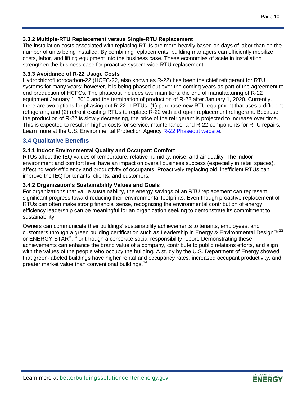#### <span id="page-10-0"></span>**3.3.2 Multiple-RTU Replacement versus Single-RTU Replacement**

The installation costs associated with replacing RTUs are more heavily based on days of labor than on the number of units being installed. By combining replacements, building managers can efficiently mobilize costs, labor, and lifting equipment into the business case. These economies of scale in installation strengthen the business case for proactive system-wide RTU replacement.

#### <span id="page-10-1"></span>**3.3.3 Avoidance of R-22 Usage Costs**

Hydrochlorofluorocarbon-22 (HCFC-22, also known as R-22) has been the chief refrigerant for RTU systems for many years; however, it is being phased out over the coming years as part of the agreement to end production of HCFCs. The phaseout includes two main tiers: the end of manufacturing of R-22 equipment January 1, 2010 and the termination of production of R-22 after January 1, 2020. Currently, there are two options for phasing out R-22 in RTUs: (1) purchase new RTU equipment that uses a different refrigerant; and (2) retrofit existing RTUs to replace R-22 with a drop-in replacement refrigerant. Because the production of R-22 is slowly decreasing, the price of the refrigerant is projected to increase over time. This is expected to result in higher costs for service, maintenance, and R-22 components for RTU repairs. Learn more at the U.S. Environmental Protection Agency [R-22 Phaseout website.](http://www.epa.gov/ozone/title6/phaseout/classtwo.html)<sup>[11](#page-20-11)</sup>

#### <span id="page-10-2"></span>**3.4 Qualitative Benefits**

#### <span id="page-10-3"></span>**3.4.1 Indoor Environmental Quality and Occupant Comfort**

RTUs affect the IEQ values of temperature, relative humidity, noise, and air quality. The indoor environment and comfort level have an impact on overall business success (especially in retail spaces), affecting work efficiency and productivity of occupants. Proactively replacing old, inefficient RTUs can improve the IEQ for tenants, clients, and customers.

#### <span id="page-10-4"></span>**3.4.2 Organization's Sustainability Values and Goals**

For organizations that value sustainability, the energy savings of an RTU replacement can represent significant progress toward reducing their environmental footprints. Even though proactive replacement of RTUs can often make strong financial sense, recognizing the environmental contribution of energy efficiency leadership can be meaningful for an organization seeking to demonstrate its commitment to sustainability.

Owners can communicate their buildings' sustainability achievements to tenants, employees, and customers through a green building certification such as Leadership in Energy & Environmental Design<sup>™[12](#page-20-12)</sup> or  $ENERGY STAR<sup>®</sup>,<sup>13</sup>$  $ENERGY STAR<sup>®</sup>,<sup>13</sup>$  $ENERGY STAR<sup>®</sup>,<sup>13</sup>$  or through a corporate social responsibility report. Demonstrating these achievements can enhance the brand value of a company, contribute to public relations efforts, and align with the values of the people who occupy the building. A study by the U.S. Department of Energy showed that green-labeled buildings have higher rental and occupancy rates, increased occupant productivity, and greater market value than conventional buildings.<sup>[14](#page-20-14)</sup>



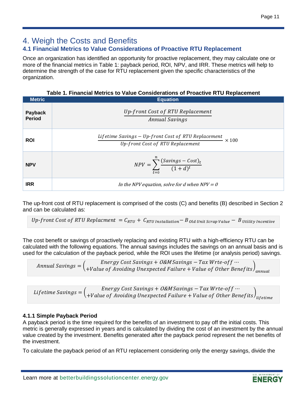## <span id="page-11-1"></span><span id="page-11-0"></span>4. Weigh the Costs and Benefits **4.1 Financial Metrics to Value Considerations of Proactive RTU Replacement**

Once an organization has identified an opportunity for proactive replacement, they may calculate one or more of the financial metrics in Table 1: payback period, ROI, NPV, and IRR. These metrics will help to determine the strength of the case for RTU replacement given the specific characteristics of the organization.

| <b>Metric</b>            | <b>Equation</b>                                                                                                     |
|--------------------------|---------------------------------------------------------------------------------------------------------------------|
| Payback<br><b>Period</b> | Up-front Cost of RTU Replacement<br>Annual Savings                                                                  |
| <b>ROI</b>               | Lifetime Savings - Up-front Cost of RTU Replacement<br>Up-front Cost of RTU Replacement<br>$\frac{U}{V} \times 100$ |
| <b>NPV</b>               | $NPV = \sum_{n=1}^{n} \frac{(Savings - Cost)_t}{(1 + d)^t}$                                                         |
| <b>IRR</b>               | In the NPV equation, solve for d when $NPV = 0$                                                                     |

**Table 1. Financial Metrics to Value Considerations of Proactive RTU Replacement**

The up-front cost of RTU replacement is comprised of the costs (C) and benefits (B) described in Section 2 and can be calculated as:

```
Up-front Cost of RTU Replacment = C_{RTU} + C_{RTU} Installation – B old Unit Scrap Value – B Utility Incentive
```
The cost benefit or savings of proactively replacing and existing RTU with a high-efficiency RTU can be calculated with the following equations. The annual savings includes the savings on an annual basis and is used for the calculation of the payback period, while the ROI uses the lifetime (or analysis period) savings.

Annual Savings  $=\begin{pmatrix} Energy\ Cost\ Savings+O\&M\ Savings-Tax\ Wrte-off\cdots\ +Value\ of\ Avoiding\ Unexpected\ Failure+Value\ of\ Other\ Benefits\end{pmatrix}$ 

Lifetime Savings =  $\begin{pmatrix} Energy\ Cost\ Savings + O\&M\ Savings - Tax\ Wrte-off\cdots \ +Value\ of\ Avoiding Inerperbed\ Failure + Value\ of\ Other\ Ber$ +Value of Avoiding Unexpected Failure + Value of Other Benefits) $\int_{\text{lifetim}}$ 

#### <span id="page-11-2"></span>**4.1.1 Simple Payback Period**

A payback period is the time required for the benefits of an investment to pay off the initial costs. This metric is generally expressed in years and is calculated by dividing the cost of an investment by the annual value created by the investment. Benefits generated after the payback period represent the net benefits of the investment.

To calculate the payback period of an RTU replacement considering only the energy savings, divide the

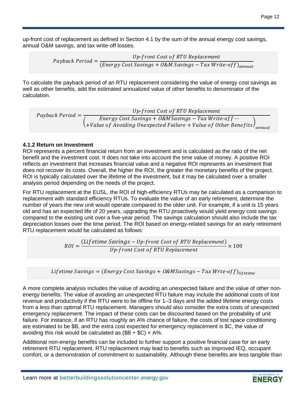up-front cost of replacement as defined in Section 4.1 by the sum of the annual energy cost savings, annual O&M savings, and tax write-off losses.

 $\emph{Payback Period} = \frac{\emph{Up-front Cost of RTU Replacement}}{(\emph{Energy Cost Savings} + \emph{0\&M Savings} - \emph{Tax Write-off})}$ 

To calculate the payback period of an RTU replacement considering the value of energy cost savings as well as other benefits, add the estimated annualized value of other benefits to denominator of the calculation.

\n
$$
\text{Payback Period} = \frac{Up\text{-}front Cost of RTU Replacement}{\left(\text{Energy Cost savings} + \text{OKMSavings} - Tax Write\text{-}off \cdots\right)} \left(\text{HValue of Avoiding Unexpected Failure} + Value of Other Benefits}\right)_{\text{annual}}
$$
\n

#### <span id="page-12-0"></span>**4.1.2 Return on Investment**

ROI represents a percent financial return from an investment and is calculated as the ratio of the net benefit and the investment cost. It does not take into account the time value of money. A positive ROI reflects an investment that increases financial value and a negative ROI represents an investment that does not recover its costs. Overall, the higher the ROI, the greater the monetary benefits of the project. ROI is typically calculated over the lifetime of the investment, but it may be calculated over a smaller analysis period depending on the needs of the project.

For RTU replacement at the EUSL, the ROI of high-efficiency RTUs may be calculated as a comparison to replacement with standard efficiency RTUs. To evaluate the value of an early retirement, determine the number of years the new unit would operate compared to the older unit. For example, if a unit is 15 years old and has an expected life of 20 years, upgrading the RTU proactively would yield energy cost savings compared to the existing unit over a five-year period. The savings calculation should also include the tax depreciation losses over the time period. The ROI based on energy-related savings for an early retirement RTU replacement would be calculated as follows:

$$
ROI = \frac{(Lifetime \, Savings - Upfront \, Cost \, of \, RTU \, Replacement)}{Upfront \, Cost \, of \, RTU \, Replacement} \times 100
$$

$$
Lifetime \,Savings = (Energy \,Cost \, Savings + \, O\&MSavings - Tax \, Wrte-off)_{lifetime}
$$

A more complete analysis includes the value of avoiding an unexpected failure and the value of other nonenergy benefits. The value of avoiding an unexpected RTU failure may include the additional costs of lost revenue and productivity if the RTU were to be offline for 1–3 days and the added lifetime energy costs from a less than optimal RTU replacement. Managers should also consider the extra costs of unexpected emergency replacement. The impact of these costs can be discounted based on the probability of unit failure. For instance, if an RTU has roughly an A% chance of failure, the costs of lost space conditioning are estimated to be \$B, and the extra cost expected for emergency replacement is \$C, the value of avoiding this risk would be calculated as  $($B + $C) \times A\%$ .

Additional non-energy benefits can be included to further support a positive financial case for an early retirement RTU replacement. RTU replacement may lead to benefits such as improved IEQ, occupant comfort, or a demonstration of commitment to sustainability. Although these benefits are less tangible than

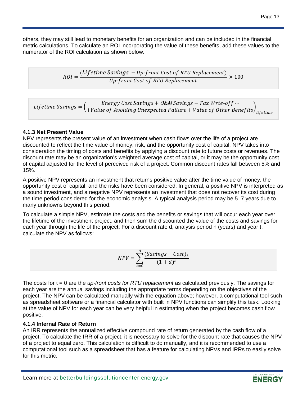others, they may still lead to monetary benefits for an organization and can be included in the financial metric calculations. To calculate an ROI incorporating the value of these benefits, add these values to the numerator of the ROI calculation as shown below.

 $ROI = \frac{(Lifetime \ Savings - Up-front \ Cost \ of \ RTU \ Repla element)}{Up-front \ Cost \ of \ RTU \ Repla element} \times 100$ 

Lifetime Savings =  $\begin{pmatrix} Energy\ Cost\ Savings + O\&M\ Savings - Tax\ Wrte-off\cdots \ +Value\ of\ Avoiding Inerperbed\ Failure + Value\ of\ Other\ Ber$ +Value of Avoiding Unexpected Failure + Value of Other Benefits) $\int_{lifetim}$ 

#### <span id="page-13-0"></span>**4.1.3 Net Present Value**

NPV represents the present value of an investment when cash flows over the life of a project are discounted to reflect the time value of money, risk, and the opportunity cost of capital. NPV takes into consideration the timing of costs and benefits by applying a discount rate to future costs or revenues. The discount rate may be an organization's weighted average cost of capital, or it may be the opportunity cost of capital adjusted for the level of perceived risk of a project. Common discount rates fall between 5% and 15%.

A positive NPV represents an investment that returns positive value after the time value of money, the opportunity cost of capital, and the risks have been considered. In general, a positive NPV is interpreted as a sound investment, and a negative NPV represents an investment that does not recover its cost during the time period considered for the economic analysis. A typical analysis period may be 5–7 years due to many unknowns beyond this period.

To calculate a simple NPV, estimate the costs and the benefits or savings that will occur each year over the lifetime of the investment project, and then sum the discounted the value of the costs and savings for each year through the life of the project. For a discount rate d, analysis period n (years) and year t, calculate the NPV as follows:

$$
NPV = \sum_{t=0}^{n} \frac{(Savings - Cost)_t}{(1+d)^t}
$$

The costs for t = 0 are the *up-front costs for RTU replacement* as calculated previously. The savings for each year are the annual savings including the appropriate terms depending on the objectives of the project. The NPV can be calculated manually with the equation above; however, a computational tool such as spreadsheet software or a financial calculator with built in NPV functions can simplify this task. Looking at the value of NPV for each year can be very helpful in estimating when the project becomes cash flow positive.

#### <span id="page-13-1"></span>**4.1.4 Internal Rate of Return**

An IRR represents the annualized effective compound rate of return generated by the cash flow of a project. To calculate the IRR of a project, it is necessary to solve for the discount rate that causes the NPV of a project to equal zero. This calculation is difficult to do manually, and it is recommended to use a computational tool such as a spreadsheet that has a feature for calculating NPVs and IRRs to easily solve for this metric.

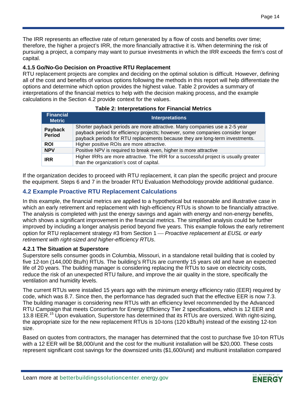The IRR represents an effective rate of return generated by a flow of costs and benefits over time; therefore, the higher a project's IRR, the more financially attractive it is. When determining the risk of pursuing a project, a company may want to pursue investments in which the IRR exceeds the firm's cost of capital.

#### <span id="page-14-0"></span>**4.1.5 Go/No-Go Decision on Proactive RTU Replacement**

RTU replacement projects are complex and deciding on the optimal solution is difficult. However, defining all of the cost and benefits of various options following the methods in this report will help differentiate the options and determine which option provides the highest value. Table 2 provides a summary of interpretations of the financial metrics to help with the decision making process, and the example calculations in the Section 4.2 provide context for the values.

| <b>Financial</b><br><b>Metric</b> | <b>Interpretations</b>                                                                                                                                                                                                                        |
|-----------------------------------|-----------------------------------------------------------------------------------------------------------------------------------------------------------------------------------------------------------------------------------------------|
| Payback<br><b>Period</b>          | Shorter payback periods are more attractive. Many companies use a 2-5 year<br>payback period for efficiency projects; however, some companies consider longer<br>payback periods for RTU replacements because they are long-term investments. |
| <b>ROI</b>                        | Higher positive ROIs are more attractive.                                                                                                                                                                                                     |
| <b>NPV</b>                        | Positive NPV is required to break even, higher is more attractive                                                                                                                                                                             |
| IRR.                              | Higher IRRs are more attractive. The IRR for a successful project is usually greater<br>than the organization's cost of capital.                                                                                                              |

#### **Table 2: Interpretations for Financial Metrics**

If the organization decides to proceed with RTU replacement, it can plan the specific project and procure the equipment. Steps 6 and 7 in the broader RTU Evaluation Methodology provide additional guidance.

#### <span id="page-14-1"></span>**4.2 Example Proactive RTU Replacement Calculations**

In this example, the financial metrics are applied to a hypothetical but reasonable and illustrative case in which an early retirement and replacement with high-efficiency RTUs is shown to be financially attractive. The analysis is completed with just the energy savings and again with energy and non-energy benefits, which shows a significant improvement in the financial metrics. The simplified analysis could be further improved by including a longer analysis period beyond five years. This example follows the early retirement option for RTU replacement strategy #3 from Section 1 *Proactive replacement at EUSL or early retirement with right-sized and higher-efficiency RTUs*.

#### <span id="page-14-2"></span>**4.2.1 The Situation at Superstore**

Superstore sells consumer goods in Columbia, Missouri, in a standalone retail building that is cooled by five 12-ton (144,000 Btu/h) RTUs. The building's RTUs are currently 15 years old and have an expected life of 20 years. The building manager is considering replacing the RTUs to save on electricity costs, reduce the risk of an unexpected RTU failure, and improve the air quality in the store, specifically the ventilation and humidity levels.

The current RTUs were installed 15 years ago with the minimum energy efficiency ratio (EER) required by code, which was 8.7. Since then, the performance has degraded such that the effective EER is now 7.3. The building manager is considering new RTUs with an efficiency level recommended by the Advanced RTU Campaign that meets Consortium for Energy Efficiency Tier 2 specifications, which is 12 EER and 13.8 IEER.<sup>[15](#page-20-15)</sup> Upon evaluation, Superstore has determined that its RTUs are oversized. With right-sizing, the appropriate size for the new replacement RTUs is 10-tons (120 kBtu/h) instead of the existing 12-ton size.

Based on quotes from contractors, the manager has determined that the cost to purchase five 10-ton RTUs with a 12 EER will be \$8,000/unit and the cost for the multiunit installation will be \$20,000. These costs represent significant cost savings for the downsized units (\$1,600/unit) and multiunit installation compared

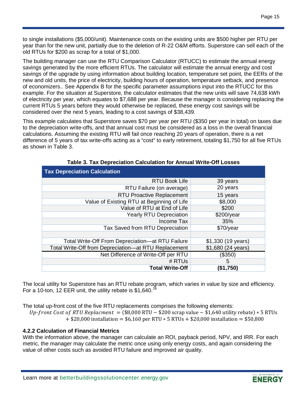to single installations (\$5,000/unit). Maintenance costs on the existing units are \$500 higher per RTU per year than for the new unit, partially due to the deletion of R-22 O&M efforts. Superstore can sell each of the old RTUs for \$200 as scrap for a total of \$1,000.

The building manager can use the RTU Comparison Calculator (RTUCC) to estimate the annual energy savings generated by the more efficient RTUs. The calculator will estimate the annual energy and cost savings of the upgrade by using information about building location, temperature set point, the EERs of the new and old units, the price of electricity, building hours of operation, temperature setback, and presence of economizers.. See Appendix B for the specific parameter assumptions input into the RTUCC for this example. For the situation at Superstore, the calculator estimates that the new units will save 74,638 kWh of electricity per year, which equates to \$7,688 per year. Because the manager is considering replacing the current RTUs 5 years before they would otherwise be replaced, these energy cost savings will be considered over the next 5 years, leading to a cost savings of \$38,439.

This example calculates that Superstore saves \$70 per year per RTU (\$350 per year in total) on taxes due to the depreciation write-offs, and that annual cost must be considered as a loss in the overall financial calculations. Assuming the existing RTU will fail once reaching 20 years of operation, there is a net difference of 5 years of tax write-offs acting as a "cost" to early retirement, totaling \$1,750 for all five RTUs as shown in Table 3.

| <b>Tax Depreciation Calculation</b>                  |                    |
|------------------------------------------------------|--------------------|
| <b>RTU Book Life</b>                                 | 39 years           |
| RTU Failure (on average)                             | 20 years           |
| <b>RTU Proactive Replacement</b>                     | 15 years           |
| Value of Existing RTU at Beginning of Life           | \$8,000            |
| Value of RTU at End of Life                          | \$200              |
| <b>Yearly RTU Depreciation</b>                       | \$200/year         |
| Income Tax                                           | 35%                |
| Tax Saved from RTU Depreciation                      | $$70$ /year        |
|                                                      |                    |
| Total Write-Off From Depreciation-at RTU Failure     | \$1,330 (19 years) |
| Total Write-Off from Depreciation-at RTU Replacement | \$1,680 (24 years) |
| Net Difference of Write-Off per RTU                  | (\$350)            |
| # RTUs                                               | 5                  |
| <b>Total Write-Off</b>                               | (\$1,750)          |

#### **Table 3. Tax Depreciation Calculation for Annual Write-Off Losses**

The local utility for Superstore has an RTU rebate program, which varies in value by size and efficiency. For a 10-ton, 12 EER unit, the utility rebate is  $$1,640.^{16}$ 

The total up-front cost of the five RTU replacements comprises the following elements:

Up-front Cost of RTU Replacment =  $(\$8,000$  RTU – \$200 scrap value – \$1,640 utility rebate) \* 5 RTUs  $+$  \$20,000 installation = \$6,160 per RTU  $*$  5 RTUs + \$20,000 installation = \$50,800

#### <span id="page-15-0"></span>**4.2.2 Calculation of Financial Metrics**

With the information above, the manager can calculate an ROI, payback period, NPV, and IRR. For each metric, the manager may calculate the metric once using only energy costs, and again considering the value of other costs such as avoided RTU failure and improved air quality.

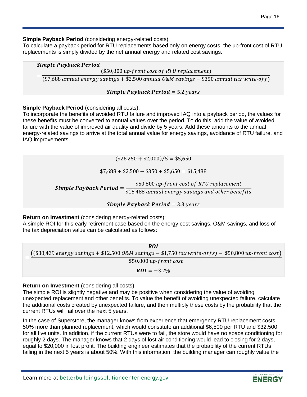**Simple Payback Period** (considering energy-related costs):

To calculate a payback period for RTU replacements based only on energy costs, the up-front cost of RTU replacements is simply divided by the net annual energy and related cost savings.

**Simple Payback Period** 

 $=\frac{\text{($50,800 up-front cost of RTU replacement)}}{\text{($7,688 annual energy savings + $2,500 annual 0\&M savings - $350 annual tax write-off)}}$ 

**Simple Payback Period = 5.2 years** 

#### **Simple Payback Period** (considering all costs):

To incorporate the benefits of avoided RTU failure and improved IAQ into a payback period, the values for these benefits must be converted to annual values over the period. To do this, add the value of avoided failure with the value of improved air quality and divide by 5 years. Add these amounts to the annual energy-related savings to arrive at the total annual value for energy savings, avoidance of RTU failure, and IAQ improvements.

 $($26,250 + $2,000)/5 = $5,650$ 

 $$7,688 + $2,500 - $350 + $5,650 = $15,488$ 

 $Simple \textit{Payback Period} = \frac{\$50,800 \textit{up-front cost of RTU repla}}{\$15,488 \textit{annual energy savings and oth}}$ 

#### **Simple Payback Period** = 3.3 years

#### **Return on Investment** (considering energy-related costs):

A simple ROI for this early retirement case based on the energy cost savings, O&M savings, and loss of the tax depreciation value can be calculated as follows:

| ROI                                                                                                     |
|---------------------------------------------------------------------------------------------------------|
| $($ (\$38,439 energy savings + \$12,500 O&M savings – \$1,750 tax write-offs) – \$50,800 up-front cost) |
| $$50,800$ up-front cost                                                                                 |
| $ROI = -3.2\%$                                                                                          |

#### **Return on Investment** (considering all costs):

The simple ROI is slightly negative and may be positive when considering the value of avoiding unexpected replacement and other benefits. To value the benefit of avoiding unexpected failure, calculate the additional costs created by unexpected failure, and then multiply these costs by the probability that the current RTUs will fail over the next 5 years.

In the case of Superstore, the manager knows from experience that emergency RTU replacement costs 50% more than planned replacement, which would constitute an additional \$6,500 per RTU and \$32,500 for all five units. In addition, if the current RTUs were to fail, the store would have no space conditioning for roughly 2 days. The manager knows that 2 days of lost air conditioning would lead to closing for 2 days, equal to \$20,000 in lost profit. The building engineer estimates that the probability of the current RTUs failing in the next 5 years is about 50%. With this information, the building manager can roughly value the

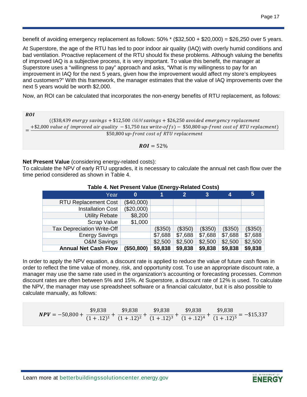benefit of avoiding emergency replacement as follows: 50% \* (\$32,500 + \$20,000) = \$26,250 over 5 years.

At Superstore, the age of the RTU has led to poor indoor air quality (IAQ) with overly humid conditions and bad ventilation. Proactive replacement of the RTU should fix these problems. Although valuing the benefits of improved IAQ is a subjective process, it is very important. To value this benefit, the manager at Superstore uses a "willingness to pay" approach and asks, "What is my willingness to pay for an improvement in IAQ for the next 5 years, given how the improvement would affect my store's employees and customers?" With this framework, the manager estimates that the value of IAQ improvements over the next 5 years would be worth \$2,000.

Now, an ROI can be calculated that incorporates the non-energy benefits of RTU replacement, as follows:

 $ROI$ =  $(($38,439$  energy savings + \$12,500 O&M savings + \$26,250 avoided emergency replacement +\$2,000 value of improved air quality  $-$  \$1,750 tax write-offs)  $-$  \$50,800 up-front cost of RTU replacment) \$50,800 up-front cost of RTU replacement

 $ROI = 52%$ 

#### **Net Present Value** (considering energy-related costs):

To calculate the NPV of early RTU upgrades, it is necessary to calculate the annual net cash flow over the time period considered as shown in Table 4.

| Year                              | 0          |         | $\overline{2}$ | 3       | 4       | 5       |
|-----------------------------------|------------|---------|----------------|---------|---------|---------|
| <b>RTU Replacement Cost</b>       | (\$40,000) |         |                |         |         |         |
| <b>Installation Cost</b>          | (\$20,000) |         |                |         |         |         |
| <b>Utility Rebate</b>             | \$8,200    |         |                |         |         |         |
| <b>Scrap Value</b>                | \$1,000    |         |                |         |         |         |
| <b>Tax Depreciation Write-Off</b> |            | (\$350) | (\$350)        | (\$350) | (\$350) | (\$350) |
| <b>Energy Savings</b>             |            | \$7,688 | \$7,688        | \$7,688 | \$7,688 | \$7,688 |
| <b>O&amp;M Savings</b>            |            | \$2,500 | \$2,500        | \$2,500 | \$2,500 | \$2,500 |
| <b>Annual Net Cash Flow</b>       | (\$50,800) | \$9,838 | \$9,838        | \$9,838 | \$9,838 | \$9,838 |

#### **Table 4. Net Present Value (Energy-Related Costs)**

In order to apply the NPV equation, a discount rate is applied to reduce the value of future cash flows in order to reflect the time value of money, risk, and opportunity cost. To use an appropriate discount rate, a manager may use the same rate used in the organization's accounting or forecasting processes. Common discount rates are often between 5% and 15%. At Superstore, a discount rate of 12% is used. To calculate the NPV, the manager may use spreadsheet software or a financial calculator, but it is also possible to calculate manually, as follows:

 $NPV = -50,800 +$ \$9,838  $\frac{(1 + .12)^{1}}{1 + .12^{1}}$ \$9,838  $\frac{(1 + .12)^2}{ }$ \$9,838  $\frac{(1 + .12)^3}{(1 + .12)^3}$ \$9,838  $\frac{(1 + .12)^4}{(1 + .12)^4}$ \$9,838  $\frac{}{(1+.12)^5} = -\$15,337$ 

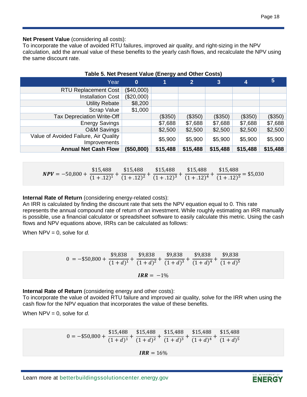To incorporate the value of avoided RTU failures, improved air quality, and right-sizing in the NPV calculation, add the annual value of these benefits to the yearly cash flows, and recalculate the NPV using the same discount rate.

**Table 5. Net Present Value (Energy and Other Costs)**

| Table J. Net Flesent Value (Lilergy and Other Costs)         |            |          |             |                |          |                |
|--------------------------------------------------------------|------------|----------|-------------|----------------|----------|----------------|
| Year                                                         | $\bf{0}$   | ٢I       | $2^{\circ}$ | 3 <sub>l</sub> | 4        | 5              |
| <b>RTU Replacement Cost</b>                                  | (\$40,000) |          |             |                |          |                |
| <b>Installation Cost</b>                                     | (\$20,000) |          |             |                |          |                |
| <b>Utility Rebate</b>                                        | \$8,200    |          |             |                |          |                |
| Scrap Value                                                  | \$1,000    |          |             |                |          |                |
| <b>Tax Depreciation Write-Off</b>                            |            | (\$350)  | (\$350)     | (\$350)        | (\$350)  | $($ \$350) $ $ |
| <b>Energy Savings</b>                                        |            | \$7,688  | \$7,688     | \$7,688        | \$7,688  | \$7,688        |
| <b>O&amp;M Savings</b>                                       |            | \$2,500  | \$2,500     | \$2,500        | \$2,500  | \$2,500        |
| Value of Avoided Failure, Air Quality<br><b>Improvements</b> |            | \$5,900  | \$5,900     | \$5,900        | \$5,900  | \$5,900        |
| <b>Annual Net Cash Flow</b>                                  | (\$50,800) | \$15,488 | \$15,488    | \$15,488       | \$15,488 | \$15,488       |

$$
\textit{NPV} = -50,800 + \frac{\$15,488}{(1+.12)^1} + \frac{\$15,488}{(1+.12)^2} + \frac{\$15,488}{(1+.12)^3} + \frac{\$15,488}{(1+.12)^4} + \frac{\$15,488}{(1+.12)^5} = \$5,030
$$

#### **Internal Rate of Return** (considering energy-related costs):

An IRR is calculated by finding the discount rate that sets the NPV equation equal to 0. This rate represents the annual compound rate of return of an investment. While roughly estimating an IRR manually is possible, use a financial calculator or spreadsheet software to easily calculate this metric. Using the cash flows and NPV equations above, IRRs can be calculated as follows:

When NPV = 0, solve for *d.*

$$
0 = -\$50,800 + \frac{\$9,838}{(1+d)^1} + \frac{\$9,838}{(1+d)^2} + \frac{\$9,838}{(1+d)^3} + \frac{\$9,838}{(1+d)^4} + \frac{\$9,838}{(1+d)^5}
$$
  
*IRR* = -1%

**Internal Rate of Return** (considering energy and other costs):

To incorporate the value of avoided RTU failure and improved air quality, solve for the IRR when using the cash flow for the NPV equation that incorporates the value of these benefits.

When NPV = 0, solve for *d.*

$$
0 = -\$50,800 + \frac{\$15,488}{(1+d)^1} + \frac{\$15,488}{(1+d)^2} + \frac{\$15,488}{(1+d)^3} + \frac{\$15,488}{(1+d)^4} + \frac{\$15,488}{(1+d)^5}
$$

$$
IRR = 16\%
$$

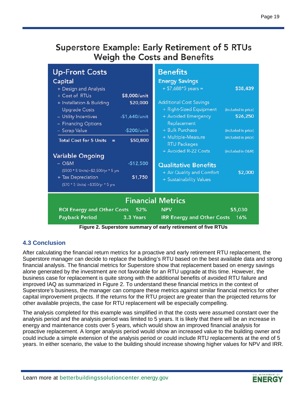# **Superstore Example: Early Retirement of 5 RTUs** Weigh the Costs and Benefits

| <b>Up-Front Costs</b>                                                 | <b>Benefits</b>                                                  |
|-----------------------------------------------------------------------|------------------------------------------------------------------|
| Capital                                                               | <b>Energy Savings</b>                                            |
| + Design and Analysis                                                 | $+$ \$7,688*5 years =<br>\$38,439                                |
| + Cost of RTUs<br>\$8,000/unit                                        |                                                                  |
| \$20,000<br>+ Installation & Building                                 | <b>Additional Cost Savings</b>                                   |
| <b>Upgrade Costs</b>                                                  | + Right-Sized Equipment<br>(included in price)                   |
| - Utility Incentives<br>$-$1,640/unit$                                | + Avoided Emergency<br>\$26,250                                  |
| - Financing Options                                                   | Replacement                                                      |
| - Scrap Value<br>$-$200/unit$                                         | + Bulk Purchase<br>(included in price)                           |
| <b>Total Cost for 5 Units</b><br>\$50,800<br>$=$                      | + Multiple-Measure<br>(included in price)<br><b>RTU Packages</b> |
|                                                                       | + Avoided R-22 Costs<br>(included in O&M)                        |
| <b>Variable Ongoing</b>                                               |                                                                  |
| $-$ O&M<br>$-$12,500$                                                 | <b>Qualitative Benefits</b>                                      |
| (\$500 * 5 Units)=\$2,500/yr * 5 yrs<br>\$1,750<br>+ Tax Depreciation | + Air Quality and Comfort<br>\$2,000<br>+ Sustainability Values  |
| (\$70 * 5 Units) = \$350/yr * 5 yrs                                   |                                                                  |
|                                                                       | <b>Financial Metrics</b>                                         |
| <b>ROI Energy and Other Costs</b><br>52%                              | \$5,030<br><b>NPV</b>                                            |
|                                                                       | 16%                                                              |
| <b>Payback Period</b><br>3.3 Years                                    | <b>IRR Energy and Other Costs</b>                                |

**Figure 2. Superstore summary of early retirement of five RTUs**

#### <span id="page-19-0"></span>**4.3 Conclusion**

After calculating the financial return metrics for a proactive and early retirement RTU replacement, the Superstore manager can decide to replace the building's RTU based on the best available data and strong financial analysis. The financial metrics for Superstore show that replacement based on energy savings alone generated by the investment are not favorable for an RTU upgrade at this time. However, the business case for replacement is quite strong with the additional benefits of avoided RTU failure and improved IAQ as summarized in Figure 2. To understand these financial metrics in the context of Superstore's business, the manager can compare these metrics against similar financial metrics for other capital improvement projects. If the returns for the RTU project are greater than the projected returns for other available projects, the case for RTU replacement will be especially compelling.

The analysis completed for this example was simplified in that the costs were assumed constant over the analysis period and the analysis period was limited to 5 years. It is likely that there will be an increase in energy and maintenance costs over 5 years, which would show an improved financial analysis for proactive replacement. A longer analysis period would show an increased value to the building owner and could include a simple extension of the analysis period or could include RTU replacements at the end of 5 years. In either scenario, the value to the building should increase showing higher values for NPV and IRR.

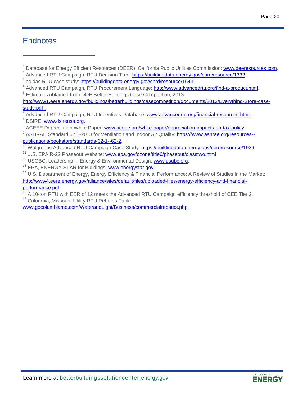# <span id="page-20-0"></span>**Endnotes**

 $\overline{a}$ 

- <span id="page-20-1"></span><sup>1</sup> Database for Energy Efficient Resources (DEER), California Public Utilities Commission: [www.deeresources.com.](http://www.deeresources.com/)<br><sup>2</sup> Advanced RTU Campaign, RTU Decision Tree: [https://buildingdata.energy.gov/cbrd/resource/1332.](https://buildingdata.energy.gov/cbrd/resource/1332)
- <span id="page-20-2"></span>
- <span id="page-20-3"></span><sup>3</sup> adidas RTU case study: [https://buildingdata.energy.gov/cbrd/resource/1643.](https://buildingdata.energy.gov/cbrd/resource/1643)
- <span id="page-20-4"></span><sup>4</sup> Advanced RTU Campaign, RTU Procurement Language: *http://www.advancedrtu.org/find-a-product.html.*<br><sup>5</sup> Estimates obtained from DOE Better Buildings Case Competition, 2013:
- <span id="page-20-5"></span>

[http://www1.eere.energy.gov/buildings/betterbuildings/casecompetition/documents/2013/Everything-Store-case](http://www1.eere.energy.gov/buildings/betterbuildings/casecompetition/documents/2013/Everything-Store-case-study.pdf)[study.pdf](http://www1.eere.energy.gov/buildings/betterbuildings/casecompetition/documents/2013/Everything-Store-case-study.pdf) .

- <span id="page-20-6"></span><sup>6</sup> Advanced RTU Campaign, RTU Incentives Database: [www.advancedrtu.org/financial-resources.html.](http://www.advancedrtu.org/financial-resources.html) <sup>7</sup> DSIRE: <u>www.dsireusa.org</u>.<br><sup>8</sup> ACEEE Depreciation White Paper: <u>www.aceee.org/white-paper/depreciation-impacts-on-tax-policy</u>
- <span id="page-20-8"></span><span id="page-20-7"></span>
- <span id="page-20-9"></span><sup>9</sup> ASHRAE Standard 62.1-2013 for Ventilation and Indoor Air Quality: [https://www.ashrae.org/resources-](https://www.ashrae.org/resources--publications/bookstore/standards-62-1--62-2) [publications/bookstore/standards-62-1--62-2.](https://www.ashrae.org/resources--publications/bookstore/standards-62-1--62-2)
- <span id="page-20-10"></span><sup>10</sup> Walgreens Advanced RTU Campaign Case Study:<https://buildingdata.energy.gov/cbrd/resource/1929>
- <span id="page-20-11"></span><sup>11</sup> U.S. EPA R-22 Phaseout Website: [www.epa.gov/ozone/title6/phaseout/classtwo.html](http://www.epa.gov/ozone/title6/phaseout/classtwo.html)<br><sup>12</sup> USGBC, Leadership in Energy & Environmental Design, www.usgbc.org.
- <span id="page-20-12"></span>
- 
- <span id="page-20-14"></span><span id="page-20-13"></span><sup>13</sup> EPA, ENERGY STAR for Buildings, [www.energystar.gov.](http://www.energystar.gov/)<br><sup>14</sup> U.S. Department of Energy, Energy Efficiency & Financial Performance: A Review of Studies in the Market: [http://www4.eere.energy.gov/alliance/sites/default/files/uploaded-files/energy-efficiency-and-financial](http://www4.eere.energy.gov/alliance/sites/default/files/uploaded-files/energy-efficiency-and-financial-performance.pdf)[performance.pdf.](http://www4.eere.energy.gov/alliance/sites/default/files/uploaded-files/energy-efficiency-and-financial-performance.pdf)
- <span id="page-20-15"></span><sup>15</sup> A 10-ton RTU with EER of 12 meets the Advanced RTU Campaign efficiency threshold of CEE Tier 2. <sup>16</sup> Columbia, Missouri, Utility RTU Rebates Table:

<span id="page-20-16"></span>[www.gocolumbiamo.com/WaterandLight/Business/commercialrebates.php.](http://www.gocolumbiamo.com/WaterandLight/Business/commercialrebates.php)

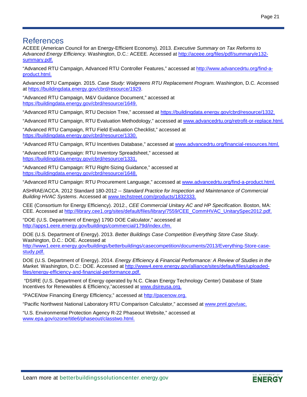## <span id="page-21-0"></span>References

ACEEE (American Council for an Energy-Efficient Economy). 2013. *Executive Summary on Tax Reforms to Advanced Energy Efficiency.* Washington, D.C.: ACEEE. Accessed at [http://aceee.org/files/pdf/summary/e132](http://aceee.org/files/pdf/summary/e132-summary.pdf) [summary.pdf.](http://aceee.org/files/pdf/summary/e132-summary.pdf)

"Advanced RTU Campaign, Advanced RTU Controller Features," accessed at [http://www.advancedrtu.org/find-a](http://www.advancedrtu.org/find-a-product.html)[product.html.](http://www.advancedrtu.org/find-a-product.html)

Advanced RTU Campaign. 2015. *Case Study: Walgreens RTU Replacement Program.* Washington, D.C. Accessed at [https://buildingdata.energy.gov/cbrd/resource/1929.](https://buildingdata.energy.gov/cbrd/resource/1929)

"Advanced RTU Campaign, M&V Guidance Document," accessed at [https://buildingdata.energy.gov/cbrd/resource/1649.](https://buildingdata.energy.gov/cbrd/resource/1649)

"Advanced RTU Campaign, RTU Decision Tree," accessed at [https://buildingdata.energy.gov/cbrd/resource/1332.](https://buildingdata.energy.gov/cbrd/resource/1332)

"Advanced RTU Campaign, RTU Evaluation Methodology," accessed at [www.advancedrtu.org/retrofit-or-replace.html.](http://www.advancedrtu.org/retrofit-or-replace.html)

"Advanced RTU Campaign, RTU Field Evaluation Checklist," accessed at [https://buildingdata.energy.gov/cbrd/resource/1330.](https://buildingdata.energy.gov/cbrd/resource/1330)

"Advanced RTU Campaign, RTU Incentives Database," accessed at [www.advancedrtu.org/financial-resources.html.](http://www.advancedrtu.org/financial-resources.html)

"Advanced RTU Campaign: RTU Inventory Spreadsheet," accessed at [https://buildingdata.energy.gov/cbrd/resource/1331.](https://buildingdata.energy.gov/cbrd/resource/1331)

"Advanced RTU Campaign: RTU Right-Sizing Guidance," accessed at [https://buildingdata.energy.gov/cbrd/resource/1648.](https://buildingdata.energy.gov/cbrd/resource/1648)

"Advanced RTU Campaign: RTU Procurement Language," accessed at [www.advancedrtu.org/find-a-product.html.](http://www.advancedrtu.org/find-a-product.html)

ASHRAE/ACCA. 2012 Standard 180-2012 -- *Standard Practice for Inspection and Maintenance of Commercial Building HVAC Systems*. Accessed at [www.techstreet.com/products/1832333.](http://www.techstreet.com/products/1832333)

CEE (Consortium for Energy Efficiency). 2012., *CEE Commercial Unitary AC and HP Specification*. Boston, MA: CEE. Accessed at [http://library.cee1.org/sites/default/files/library/7559/CEE\\_CommHVAC\\_UnitarySpec2012.pdf.](http://library.cee1.org/sites/default/files/library/7559/CEE_CommHVAC_UnitarySpec2012.pdf)

"DOE (U.S. Department of Energy) 179D DOE Calculator," accessed at [http://apps1.eere.energy.gov/buildings/commercial/179d/index.cfm.](http://apps1.eere.energy.gov/buildings/commercial/179d/index.cfm)

DOE (U.S. Department of Energy). 2013. *Better Buildings Case Competition Everything Store Case Study*. Washington, D.C.: DOE. Accessed at [http://www1.eere.energy.gov/buildings/betterbuildings/casecompetition/documents/2013/Everything-Store-case](http://www1.eere.energy.gov/buildings/betterbuildings/casecompetition/documents/2013/Everything-Store-case-study.pdf)[study.pdf.](http://www1.eere.energy.gov/buildings/betterbuildings/casecompetition/documents/2013/Everything-Store-case-study.pdf)

DOE (U.S. Department of Energy). 2014. *Energy Efficiency & Financial Performance: A Review of Studies in the Market.* Washington, D.C.: DOE. Accessed at [http://www4.eere.energy.gov/alliance/sites/default/files/uploaded](http://www4.eere.energy.gov/alliance/sites/default/files/uploaded-files/energy-efficiency-and-financial-performance.pdf)[files/energy-efficiency-and-financial-performance.pdf.](http://www4.eere.energy.gov/alliance/sites/default/files/uploaded-files/energy-efficiency-and-financial-performance.pdf)

"DSIRE (U.S. Department of Energy operated by N.C. Clean Energy Technology Center) Database of State Incentives for Renewables & Efficiency,"accessed at [www.dsireusa.org.](http://www.dsireusa.org/)

"PACE*Now* Financing Energy Efficiency," accessed at [http://pacenow.org.](http://pacenow.org/)

"Pacific Northwest National Laboratory RTU Comparison Calculator," accessed at [www.pnnl.gov/uac.](http://www.pnnl.gov/uac)

"U.S. Environmental Protection Agency R-22 Phaseout Website," accessed at [www.epa.gov/ozone/title6/phaseout/classtwo.html.](http://www.epa.gov/ozone/title6/phaseout/classtwo.html)

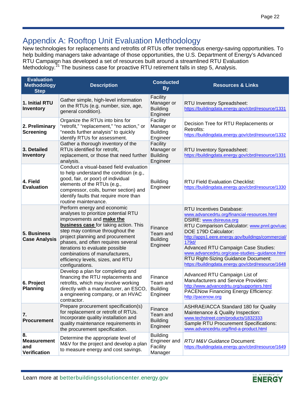# <span id="page-22-0"></span>Appendix A: Rooftop Unit Evaluation Methodology

New technologies for replacements and retrofits of RTUs offer tremendous energy-saving opportunities. To help building managers take advantage of those opportunities, the U.S. Department of Energy's Advanced RTU Campaign has developed a set of resources built around a streamlined RTU Evaluation Methodology.<sup>21</sup> The business case for proactive RTU retirement falls in step 5, Analysis.

| <b>Evaluation</b><br><b>Methodology</b><br><b>Step</b> | <b>Description</b>                                                                                                                                                                                                                                                                                                                                                                                 | <b>Conducted</b><br><b>By</b>                          | <b>Resources &amp; Links</b>                                                                                                                                                                                                                                                                                                                                                                                                     |
|--------------------------------------------------------|----------------------------------------------------------------------------------------------------------------------------------------------------------------------------------------------------------------------------------------------------------------------------------------------------------------------------------------------------------------------------------------------------|--------------------------------------------------------|----------------------------------------------------------------------------------------------------------------------------------------------------------------------------------------------------------------------------------------------------------------------------------------------------------------------------------------------------------------------------------------------------------------------------------|
| 1. Initial RTU<br>Inventory                            | Gather simple, high-level information<br>on the RTUs (e.g. number, size, age,<br>general condition).                                                                                                                                                                                                                                                                                               | Facility<br>Manager or<br><b>Building</b><br>Engineer  | RTU Inventory Spreadsheet:<br>https://buildingdata.energy.gov/cbrd/resource/1331                                                                                                                                                                                                                                                                                                                                                 |
| 2. Preliminary<br><b>Screening</b>                     | Organize the RTUs into bins for<br>"retrofit," "replacement," "no action," or<br>"needs further analysis" to quickly<br>identify RTUs for assessment.                                                                                                                                                                                                                                              | Facility<br>Manager or<br><b>Building</b><br>Engineer  | Decision Tree for RTU Replacements or<br>Retrofits:<br>https://buildingdata.energy.gov/cbrd/resource/1332                                                                                                                                                                                                                                                                                                                        |
| 3. Detailed<br>Inventory                               | Gather a thorough inventory of the<br>RTUs identified for retrofit,<br>replacement, or those that need further<br>analysis.                                                                                                                                                                                                                                                                        | Facility<br>Manager or<br><b>Building</b><br>Engineer  | RTU Inventory Spreadsheet:<br>https://buildingdata.energy.gov/cbrd/resource/1331                                                                                                                                                                                                                                                                                                                                                 |
| 4. Field<br><b>Evaluation</b>                          | Conduct a visual-based field evaluation<br>to help understand the condition (e.g.,<br>good, fair, or poor) of individual<br>elements of the RTUs (e.g.,<br>compressor, coils, burner section) and<br>identify faults that require more than<br>routine maintenance.                                                                                                                                | <b>Building</b><br>Engineer                            | <b>RTU Field Evaluation Checklist:</b><br>https://buildingdata.energy.gov/cbrd/resource/1330                                                                                                                                                                                                                                                                                                                                     |
| 5. Business<br><b>Case Analysis</b>                    | Perform energy and economic<br>analyses to prioritize potential RTU<br>improvements and <b>make the</b><br><b>business case</b> for taking action. This<br>step may continue throughout the<br>project planning and procurement<br>phases, and often requires several<br>iterations to evaluate possible<br>combinations of manufacturers,<br>efficiency levels, sizes, and RTU<br>configurations. | Finance<br>Team and<br><b>Building</b><br>Engineer     | RTU Incentives Database:<br>www.advancedrtu.org/financial-resources.html<br>DSIRE: www.dsireusa.org<br>RTU Comparison Calculator: www.pnnl.gov/uac<br>DOE 179D Calculator:<br>http://apps1.eere.energy.gov/buildings/commercial/<br>179d/<br>Advanced RTU Campaign Case Studies:<br>www.advancedrtu.org/case-studies--guidance.html<br>RTU Right-Sizing Guidance Document:<br>https://buildingdata.energy.gov/cbrd/resource/1648 |
| 6. Project<br><b>Planning</b>                          | Develop a plan for completing and<br>financing the RTU replacements and<br>retrofits, which may involve working<br>directly with a manufacturer, an ESCO,<br>a engineering company, or an HVAC<br>contractor.                                                                                                                                                                                      | Finance<br>Team and<br><b>Building</b><br>Engineer     | Advanced RTU Campaign List of<br><b>Manufacturers and Service Providers:</b><br>http://www.advancedrtu.org/supporters.html<br><b>PACENow Financing Energy Efficiency:</b><br>http://pacenow.org                                                                                                                                                                                                                                  |
| 7.<br><b>Procurement</b>                               | Prepare procurement specification(s)<br>for replacement or retrofit of RTUs.<br>Incorporate quality installation and<br>quality maintenance requirements in<br>the procurement specification.                                                                                                                                                                                                      | Finance<br>Team and<br><b>Building</b><br>Engineer     | ASHRAE/ACCA Standard 180 for Quality<br>Maintenance & Quality Inspection:<br>www.techstreet.com/products/1832333<br><b>Sample RTU Procurement Specifications:</b><br>www.advancedrtu.org/find-a-product.html                                                                                                                                                                                                                     |
| 8.<br><b>Measurement</b><br>and<br><b>Verification</b> | Determine the appropriate level of<br>M&V for the project and develop a plan<br>to measure energy and cost savings.                                                                                                                                                                                                                                                                                | <b>Building</b><br>Engineer and<br>Facility<br>Manager | RTU M& V Guidance Document:<br>https://buildingdata.energy.gov/cbrd/resource/1649                                                                                                                                                                                                                                                                                                                                                |

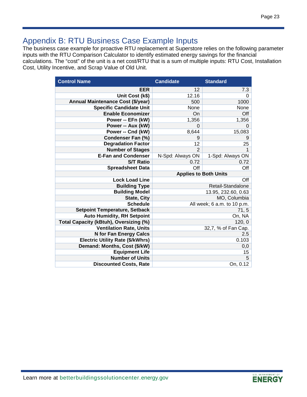# <span id="page-23-0"></span>Appendix B: RTU Business Case Example Inputs

The business case example for proactive RTU replacement at Superstore relies on the following parameter inputs with the RTU Comparison Calculator to identify estimated energy savings for the financial calculations. The "cost" of the unit is a net cost/RTU that is a sum of multiple inputs: RTU Cost, Installation Cost, Utility Incentive, and Scrap Value of Old Unit.

| <b>Control Name</b>                      | <b>Candidate</b><br><b>Standard</b> |                   |  |  |
|------------------------------------------|-------------------------------------|-------------------|--|--|
| <b>EER</b>                               | 12                                  | 7.3               |  |  |
| Unit Cost (k\$)                          | 12.16                               | 0                 |  |  |
| <b>Annual Maintenance Cost (\$/year)</b> | 500                                 | 1000              |  |  |
| <b>Specific Candidate Unit</b>           | None                                | None              |  |  |
| <b>Enable Economizer</b>                 | On                                  | Off               |  |  |
| Power -- EFn (kW)                        | 1,356                               | 1,356             |  |  |
| Power -- Aux (kW)                        | $\Omega$                            | 0                 |  |  |
| Power -- Cnd (kW)                        | 8,644                               | 15,083            |  |  |
| Condenser Fan (%)                        | 9                                   | 9                 |  |  |
| <b>Degradation Factor</b>                | 12                                  | 25                |  |  |
| <b>Number of Stages</b>                  | $\overline{2}$                      | 1                 |  |  |
| <b>E-Fan and Condenser</b>               | N-Spd: Always ON                    | 1-Spd: Always ON  |  |  |
| <b>S/T Ratio</b>                         | 0.72                                | 0.72              |  |  |
| <b>Spreadsheet Data</b>                  | Off                                 | Off               |  |  |
|                                          | <b>Applies to Both Units</b>        |                   |  |  |
| <b>Lock Load Line</b>                    |                                     | Off               |  |  |
| <b>Building Type</b>                     |                                     | Retail-Standalone |  |  |
| <b>Building Model</b>                    | 13.95, 232.60, 0.63                 |                   |  |  |
| <b>State, City</b>                       | MO, Columbia                        |                   |  |  |
| <b>Schedule</b>                          | All week; 6 a.m. to 10 p.m.         |                   |  |  |
| <b>Setpoint Temperature, Setback</b>     |                                     | 71, 5             |  |  |
| <b>Auto Humidity, RH Setpoint</b>        |                                     | On, NA            |  |  |
| Total Capacity (kBtuh), Oversizing (%)   | 120, 0                              |                   |  |  |
| <b>Ventilation Rate, Units</b>           | 32,7, % of Fan Cap.                 |                   |  |  |
| N for Fan Energy Calcs                   | 2.5                                 |                   |  |  |
| Electric Utility Rate (\$/kWhrs)         | 0.103                               |                   |  |  |
| Demand: Months, Cost (\$/kW)             | 0,0                                 |                   |  |  |
| <b>Equipment Life</b>                    | 15                                  |                   |  |  |
| <b>Number of Units</b>                   | 5                                   |                   |  |  |
| <b>Discounted Costs, Rate</b>            | On, 0.12                            |                   |  |  |